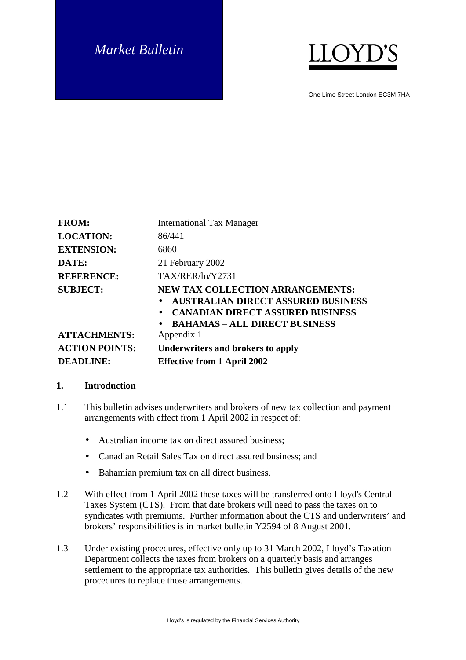# *Market Bulletin*



One Lime Street London EC3M 7HA

| <b>FROM:</b>                           | <b>International Tax Manager</b>                                                                                                                                                      |
|----------------------------------------|---------------------------------------------------------------------------------------------------------------------------------------------------------------------------------------|
| <b>LOCATION:</b>                       | 86/441                                                                                                                                                                                |
| <b>EXTENSION:</b>                      | 6860                                                                                                                                                                                  |
| DATE:                                  | 21 February 2002                                                                                                                                                                      |
| <b>REFERENCE:</b>                      | TAX/RER/ln/Y2731                                                                                                                                                                      |
| <b>SUBJECT:</b><br><b>ATTACHMENTS:</b> | <b>NEW TAX COLLECTION ARRANGEMENTS:</b><br><b>AUSTRALIAN DIRECT ASSURED BUSINESS</b><br><b>CANADIAN DIRECT ASSURED BUSINESS</b><br><b>BAHAMAS - ALL DIRECT BUSINESS</b><br>Appendix 1 |
| <b>ACTION POINTS:</b>                  | Underwriters and brokers to apply                                                                                                                                                     |
| <b>DEADLINE:</b>                       | <b>Effective from 1 April 2002</b>                                                                                                                                                    |

#### **1. Introduction**

- 1.1 This bulletin advises underwriters and brokers of new tax collection and payment arrangements with effect from 1 April 2002 in respect of:
	- Australian income tax on direct assured business:
	- Canadian Retail Sales Tax on direct assured business; and
	- Bahamian premium tax on all direct business.
- 1.2 With effect from 1 April 2002 these taxes will be transferred onto Lloyd's Central Taxes System (CTS). From that date brokers will need to pass the taxes on to syndicates with premiums. Further information about the CTS and underwriters' and brokers' responsibilities is in market bulletin Y2594 of 8 August 2001.
- 1.3 Under existing procedures, effective only up to 31 March 2002, Lloyd's Taxation Department collects the taxes from brokers on a quarterly basis and arranges settlement to the appropriate tax authorities. This bulletin gives details of the new procedures to replace those arrangements.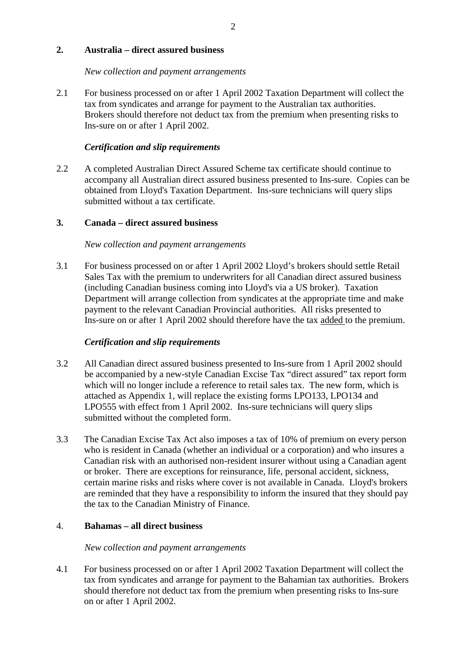## **2. Australia – direct assured business**

#### *New collection and payment arrangements*

2.1 For business processed on or after 1 April 2002 Taxation Department will collect the tax from syndicates and arrange for payment to the Australian tax authorities. Brokers should therefore not deduct tax from the premium when presenting risks to Ins-sure on or after 1 April 2002.

## *Certification and slip requirements*

2.2 A completed Australian Direct Assured Scheme tax certificate should continue to accompany all Australian direct assured business presented to Ins-sure. Copies can be obtained from Lloyd's Taxation Department. Ins-sure technicians will query slips submitted without a tax certificate.

## **3. Canada – direct assured business**

## *New collection and payment arrangements*

3.1 For business processed on or after 1 April 2002 Lloyd's brokers should settle Retail Sales Tax with the premium to underwriters for all Canadian direct assured business (including Canadian business coming into Lloyd's via a US broker). Taxation Department will arrange collection from syndicates at the appropriate time and make payment to the relevant Canadian Provincial authorities. All risks presented to Ins-sure on or after 1 April 2002 should therefore have the tax added to the premium.

## *Certification and slip requirements*

- 3.2 All Canadian direct assured business presented to Ins-sure from 1 April 2002 should be accompanied by a new-style Canadian Excise Tax "direct assured" tax report form which will no longer include a reference to retail sales tax. The new form, which is attached as Appendix 1, will replace the existing forms LPO133, LPO134 and LPO555 with effect from 1 April 2002. Ins-sure technicians will query slips submitted without the completed form.
- 3.3 The Canadian Excise Tax Act also imposes a tax of 10% of premium on every person who is resident in Canada (whether an individual or a corporation) and who insures a Canadian risk with an authorised non-resident insurer without using a Canadian agent or broker. There are exceptions for reinsurance, life, personal accident, sickness, certain marine risks and risks where cover is not available in Canada. Lloyd's brokers are reminded that they have a responsibility to inform the insured that they should pay the tax to the Canadian Ministry of Finance.

#### 4. **Bahamas – all direct business**

#### *New collection and payment arrangements*

4.1 For business processed on or after 1 April 2002 Taxation Department will collect the tax from syndicates and arrange for payment to the Bahamian tax authorities. Brokers should therefore not deduct tax from the premium when presenting risks to Ins-sure on or after 1 April 2002.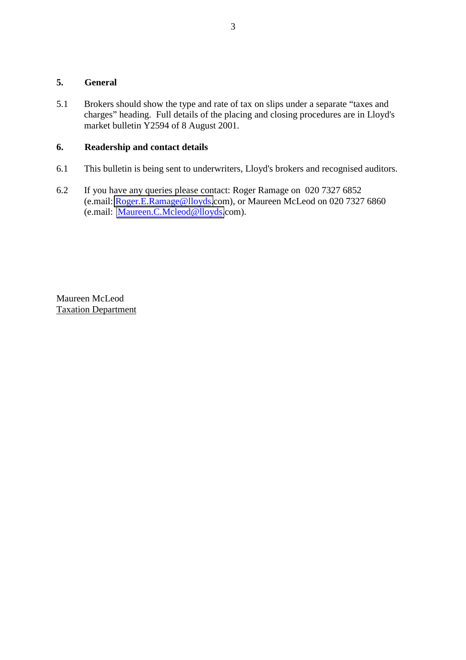## **5. General**

5.1 Brokers should show the type and rate of tax on slips under a separate "taxes and charges" heading. Full details of the placing and closing procedures are in Lloyd's market bulletin Y2594 of 8 August 2001.

# **6. Readership and contact details**

- 6.1 This bulletin is being sent to underwriters, Lloyd's brokers and recognised auditors.
- 6.2 If you have any queries please contact: Roger Ramage on 020 7327 6852 (e.mail: [Roger.E.Ramage@lloyds.](mailto:Roger.E.Ramage@Lloyds)com), or Maureen McLeod on 020 7327 6860 (e.mail: [Maureen.C.Mcleod@lloyds.](mailto:MaureenCMcleod@lloyds)com).

Maureen McLeod Taxation Department